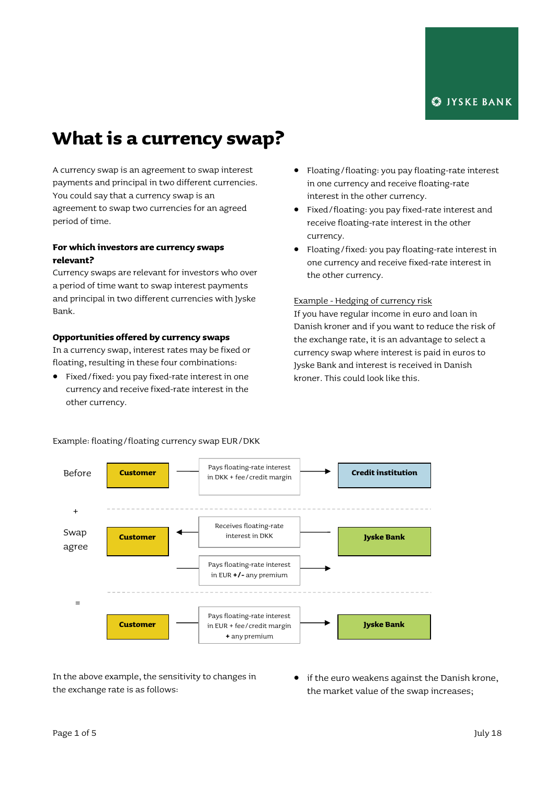# **What is a currency swap?**

A currency swap is an agreement to swap interest payments and principal in two different currencies. You could say that a currency swap is an agreement to swap two currencies for an agreed period of time.

# **For which investors are currency swaps relevant?**

Currency swaps are relevant for investors who over a period of time want to swap interest payments and principal in two different currencies with Jyske Bank.

#### **Opportunities offered by currency swaps**

In a currency swap, interest rates may be fixed or floating, resulting in these four combinations:

 Fixed/fixed: you pay fixed-rate interest in one currency and receive fixed-rate interest in the other currency.

- Floating/floating: you pay floating-rate interest in one currency and receive floating-rate interest in the other currency.
- Fixed/floating: you pay fixed-rate interest and receive floating-rate interest in the other currency.
- Floating/fixed: you pay floating-rate interest in one currency and receive fixed-rate interest in the other currency.

#### Example - Hedging of currency risk

If you have regular income in euro and loan in Danish kroner and if you want to reduce the risk of the exchange rate, it is an advantage to select a currency swap where interest is paid in euros to Jyske Bank and interest is received in Danish kroner. This could look like this.



Example: floating/floating currency swap EUR/DKK

In the above example, the sensitivity to changes in the exchange rate is as follows:

**•** if the euro weakens against the Danish krone, the market value of the swap increases;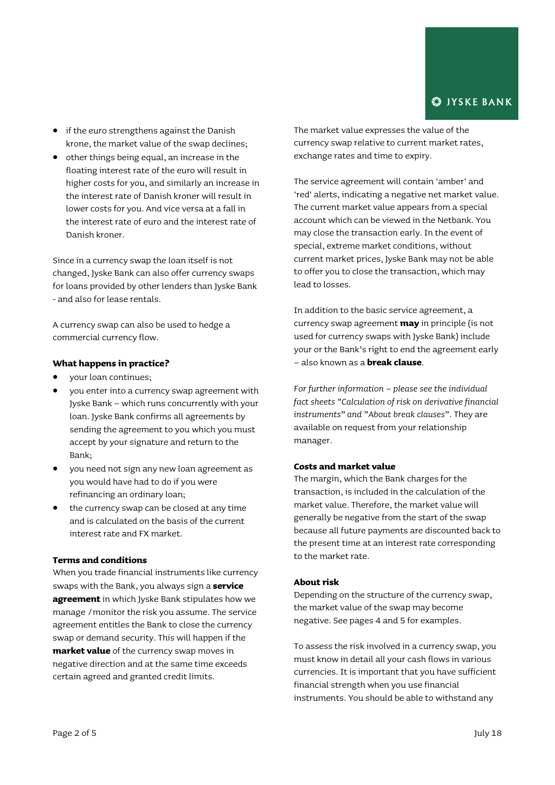- if the euro strengthens against the Danish krone, the market value of the swap declines;
- $\bullet$  other things being equal, an increase in the floating interest rate of the euro will result in higher costs for you, and similarly an increase in the interest rate of Danish kroner will result in lower costs for you. And vice versa at a fall in the interest rate of euro and the interest rate of Danish kroner.

Since in a currency swap the loan itself is not changed, Jyske Bank can also offer currency swaps for loans provided by other lenders than Jyske Bank - and also for lease rentals.

A currency swap can also be used to hedge a commercial currency flow.

#### **What happens in practice?**

- your loan continues;
- you enter into a currency swap agreement with Jyske Bank – which runs concurrently with your loan. Jyske Bank confirms all agreements by sending the agreement to you which you must accept by your signature and return to the Bank;
- you need not sign any new loan agreement as you would have had to do if you were refinancing an ordinary loan;
- the currency swap can be closed at any time and is calculated on the basis of the current interest rate and FX market.

#### **Terms and conditions**

When you trade financial instruments like currency swaps with the Bank, you always sign a **service agreement** in which Jyske Bank stipulates how we manage /monitor the risk you assume. The service agreement entitles the Bank to close the currency swap or demand security. This will happen if the **market value** of the currency swap moves in negative direction and at the same time exceeds certain agreed and granted credit limits.

The market value expresses the value of the currency swap relative to current market rates, exchange rates and time to expiry.

The service agreement will contain 'amber' and 'red' alerts, indicating a negative net market value. The current market value appears from a special account which can be viewed in the Netbank. You may close the transaction early. In the event of special, extreme market conditions, without current market prices, Jyske Bank may not be able to offer you to close the transaction, which may lead to losses.

In addition to the basic service agreement, a currency swap agreement **may** in principle (is not used for currency swaps with Jyske Bank) include your or the Bank's right to end the agreement early – also known as a **break clause**.

*For further information – please see the individual fact sheets "Calculation of risk on derivative financial instruments" and "About break clauses".* They are available on request from your relationship manager.

# **Costs and market value**

The margin, which the Bank charges for the transaction, is included in the calculation of the market value. Therefore, the market value will generally be negative from the start of the swap because all future payments are discounted back to the present time at an interest rate corresponding to the market rate.

#### **About risk**

Depending on the structure of the currency swap, the market value of the swap may become negative. See pages 4 and 5 for examples.

To assess the risk involved in a currency swap, you must know in detail all your cash flows in various currencies. It is important that you have sufficient financial strength when you use financial instruments. You should be able to withstand any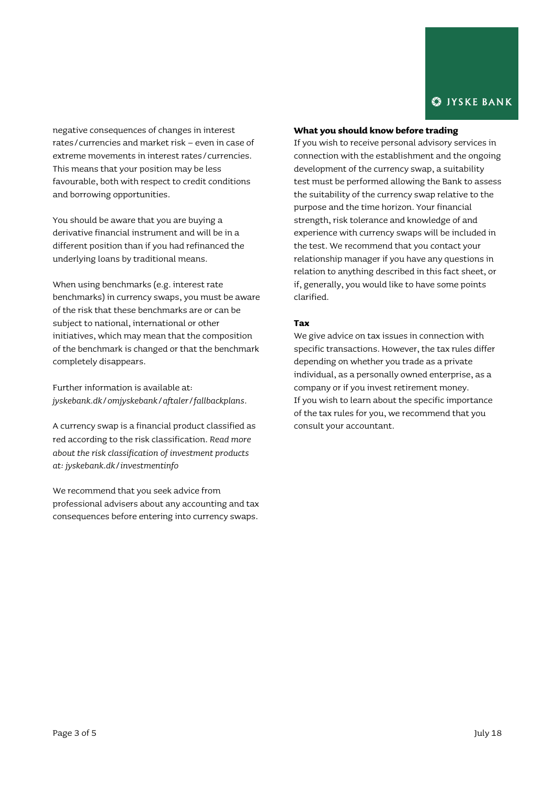negative consequences of changes in interest rates/currencies and market risk – even in case of extreme movements in interest rates/currencies. This means that your position may be less favourable, both with respect to credit conditions and borrowing opportunities.

You should be aware that you are buying a derivative financial instrument and will be in a different position than if you had refinanced the underlying loans by traditional means.

When using benchmarks (e.g. interest rate benchmarks) in currency swaps, you must be aware of the risk that these benchmarks are or can be subject to national, international or other initiatives, which may mean that the composition of the benchmark is changed or that the benchmark completely disappears.

Further information is available at: *[jyskebank.dk/omjyskebank/aftaler/fallbackplans.](http://www.jyskebank.dk/omjyskebank/aftaler/fallbackplans)*

A currency swap is a financial product classified as red according to the risk classification. *Read more about the risk classification of investment products at: jyskebank.dk/investmentinfo*

We recommend that you seek advice from professional advisers about any accounting and tax consequences before entering into currency swaps.

#### **What you should know before trading**

If you wish to receive personal advisory services in connection with the establishment and the ongoing development of the currency swap, a suitability test must be performed allowing the Bank to assess the suitability of the currency swap relative to the purpose and the time horizon. Your financial strength, risk tolerance and knowledge of and experience with currency swaps will be included in the test. We recommend that you contact your relationship manager if you have any questions in relation to anything described in this fact sheet, or if, generally, you would like to have some points clarified.

#### **Tax**

We give advice on tax issues in connection with specific transactions. However, the tax rules differ depending on whether you trade as a private individual, as a personally owned enterprise, as a company or if you invest retirement money. If you wish to learn about the specific importance of the tax rules for you, we recommend that you consult your accountant.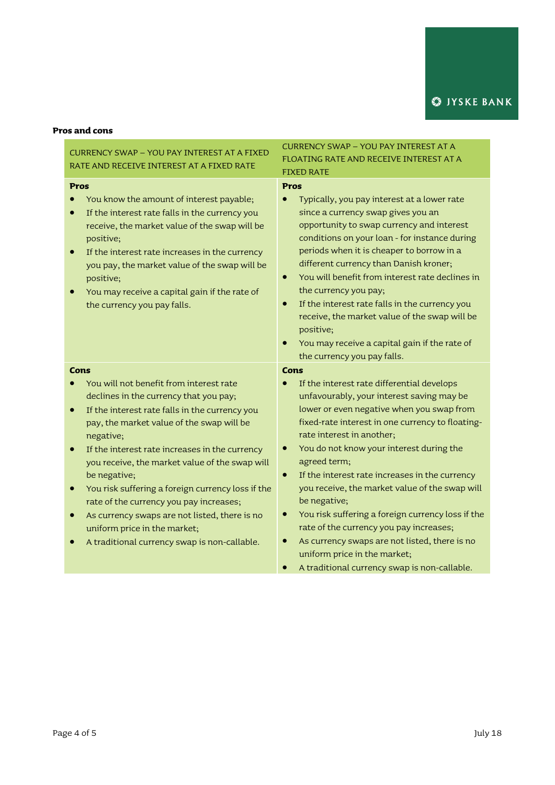# **Pros and cons**

| <b>CURRENCY SWAP - YOU PAY INTEREST AT A FIXED</b><br>RATE AND RECEIVE INTEREST AT A FIXED RATE                                                                                                                                                                                                                                                                                                                                                                                                                                                                                                          | <b>CURRENCY SWAP - YOU PAY INTEREST AT A</b><br>FLOATING RATE AND RECEIVE INTEREST AT A<br><b>FIXED RATE</b>                                                                                                                                                                                                                                                                                                                                                                                                                                                                                                                                                             |
|----------------------------------------------------------------------------------------------------------------------------------------------------------------------------------------------------------------------------------------------------------------------------------------------------------------------------------------------------------------------------------------------------------------------------------------------------------------------------------------------------------------------------------------------------------------------------------------------------------|--------------------------------------------------------------------------------------------------------------------------------------------------------------------------------------------------------------------------------------------------------------------------------------------------------------------------------------------------------------------------------------------------------------------------------------------------------------------------------------------------------------------------------------------------------------------------------------------------------------------------------------------------------------------------|
| <b>Pros</b><br>You know the amount of interest payable;<br>If the interest rate falls in the currency you<br>receive, the market value of the swap will be<br>positive;<br>If the interest rate increases in the currency<br>you pay, the market value of the swap will be<br>positive;<br>You may receive a capital gain if the rate of<br>the currency you pay falls.                                                                                                                                                                                                                                  | <b>Pros</b><br>Typically, you pay interest at a lower rate<br>since a currency swap gives you an<br>opportunity to swap currency and interest<br>conditions on your loan - for instance during<br>periods when it is cheaper to borrow in a<br>different currency than Danish kroner;<br>You will benefit from interest rate declines in<br>$\bullet$<br>the currency you pay;<br>If the interest rate falls in the currency you<br>receive, the market value of the swap will be<br>positive;<br>You may receive a capital gain if the rate of<br>the currency you pay falls.                                                                                           |
| <b>Cons</b><br>You will not benefit from interest rate<br>declines in the currency that you pay;<br>If the interest rate falls in the currency you<br>$\bullet$<br>pay, the market value of the swap will be<br>negative;<br>If the interest rate increases in the currency<br>$\bullet$<br>you receive, the market value of the swap will<br>be negative;<br>You risk suffering a foreign currency loss if the<br>rate of the currency you pay increases;<br>As currency swaps are not listed, there is no<br>$\bullet$<br>uniform price in the market;<br>A traditional currency swap is non-callable. | Cons<br>If the interest rate differential develops<br>unfavourably, your interest saving may be<br>lower or even negative when you swap from<br>fixed-rate interest in one currency to floating-<br>rate interest in another;<br>You do not know your interest during the<br>agreed term;<br>If the interest rate increases in the currency<br>$\bullet$<br>you receive, the market value of the swap will<br>be negative;<br>You risk suffering a foreign currency loss if the<br>$\bullet$<br>rate of the currency you pay increases;<br>As currency swaps are not listed, there is no<br>uniform price in the market;<br>A traditional currency swap is non-callable. |